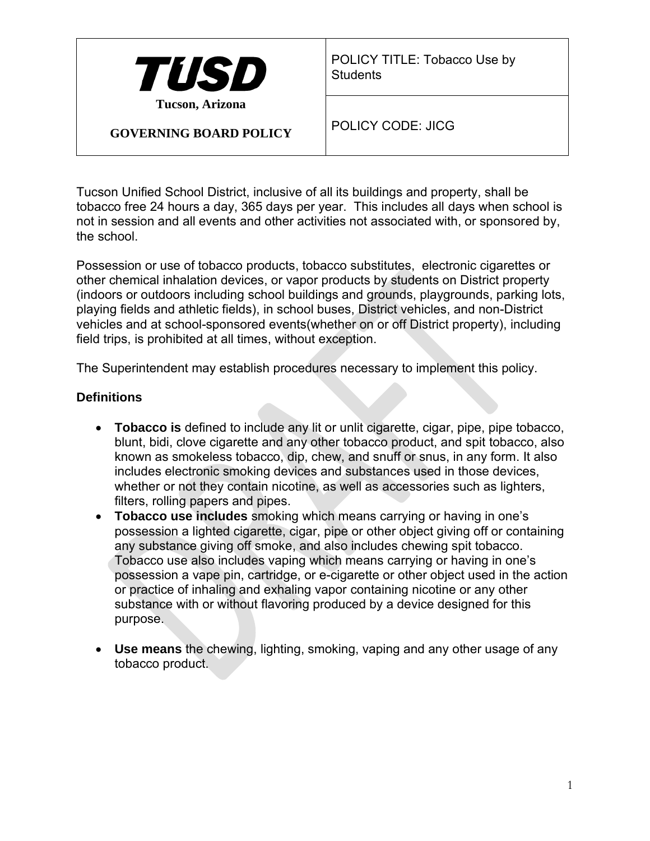

POLICY TITLE: Tobacco Use by **Students** 

**GOVERNING BOARD POLICY**

POLICY CODE: JICG

Tucson Unified School District, inclusive of all its buildings and property, shall be tobacco free 24 hours a day, 365 days per year. This includes all days when school is not in session and all events and other activities not associated with, or sponsored by, the school.

Possession or use of tobacco products, tobacco substitutes, electronic cigarettes or other chemical inhalation devices, or vapor products by students on District property (indoors or outdoors including school buildings and grounds, playgrounds, parking lots, playing fields and athletic fields), in school buses, District vehicles, and non-District vehicles and at school-sponsored events(whether on or off District property), including field trips, is prohibited at all times, without exception.

The Superintendent may establish procedures necessary to implement this policy.

### **Definitions**

- **Tobacco is** defined to include any lit or unlit cigarette, cigar, pipe, pipe tobacco, blunt, bidi, clove cigarette and any other tobacco product, and spit tobacco, also known as smokeless tobacco, dip, chew, and snuff or snus, in any form. It also includes electronic smoking devices and substances used in those devices, whether or not they contain nicotine, as well as accessories such as lighters, filters, rolling papers and pipes.
- **Tobacco use includes** smoking which means carrying or having in one's possession a lighted cigarette, cigar, pipe or other object giving off or containing any substance giving off smoke, and also includes chewing spit tobacco. Tobacco use also includes vaping which means carrying or having in one's possession a vape pin, cartridge, or e-cigarette or other object used in the action or practice of inhaling and exhaling vapor containing nicotine or any other substance with or without flavoring produced by a device designed for this purpose.
- **Use means** the chewing, lighting, smoking, vaping and any other usage of any tobacco product.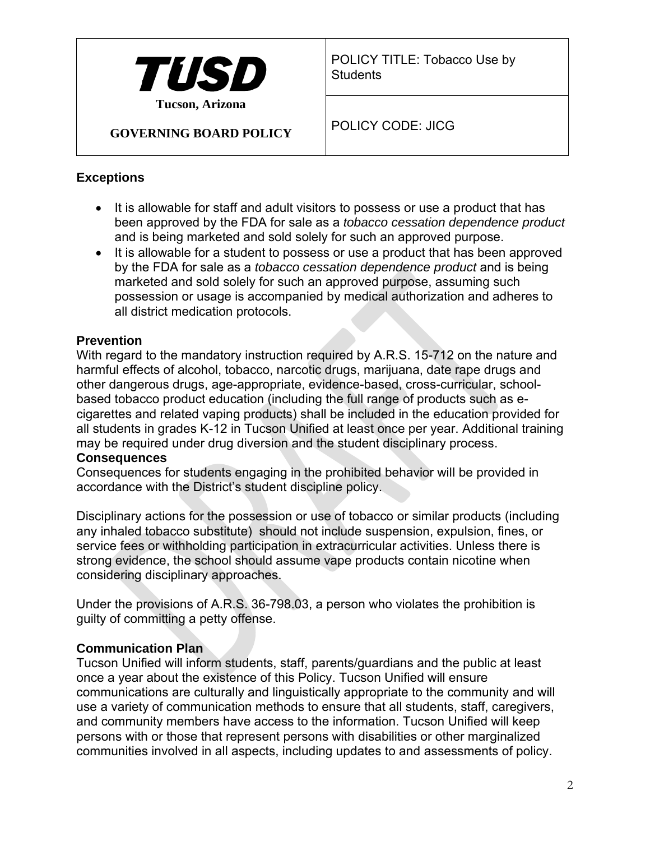

POLICY TITLE: Tobacco Use by **Students** 

### **GOVERNING BOARD POLICY**

POLICY CODE: JICG

## **Exceptions**

- It is allowable for staff and adult visitors to possess or use a product that has been approved by the FDA for sale as a *tobacco cessation dependence product*  and is being marketed and sold solely for such an approved purpose.
- It is allowable for a student to possess or use a product that has been approved by the FDA for sale as a *tobacco cessation dependence product* and is being marketed and sold solely for such an approved purpose, assuming such possession or usage is accompanied by medical authorization and adheres to all district medication protocols.

# **Prevention**

With regard to the mandatory instruction required by A.R.S. 15-712 on the nature and harmful effects of alcohol, tobacco, narcotic drugs, marijuana, date rape drugs and other dangerous drugs, age-appropriate, evidence-based, cross-curricular, schoolbased tobacco product education (including the full range of products such as ecigarettes and related vaping products) shall be included in the education provided for all students in grades K-12 in Tucson Unified at least once per year. Additional training may be required under drug diversion and the student disciplinary process.

## **Consequences**

Consequences for students engaging in the prohibited behavior will be provided in accordance with the District's student discipline policy.

Disciplinary actions for the possession or use of tobacco or similar products (including any inhaled tobacco substitute) should not include suspension, expulsion, fines, or service fees or withholding participation in extracurricular activities. Unless there is strong evidence, the school should assume vape products contain nicotine when considering disciplinary approaches.

Under the provisions of A.R.S. 36-798.03, a person who violates the prohibition is guilty of committing a petty offense.

### **Communication Plan**

Tucson Unified will inform students, staff, parents/guardians and the public at least once a year about the existence of this Policy. Tucson Unified will ensure communications are culturally and linguistically appropriate to the community and will use a variety of communication methods to ensure that all students, staff, caregivers, and community members have access to the information. Tucson Unified will keep persons with or those that represent persons with disabilities or other marginalized communities involved in all aspects, including updates to and assessments of policy.